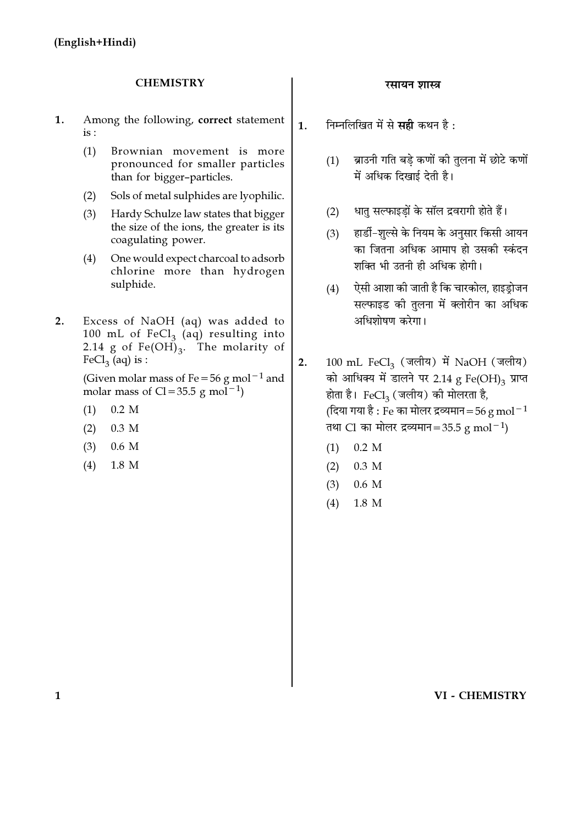#### **CHEMISTRY**

- 1. Among the following, correct statement  $is:$ 
	- $(1)$ Brownian movement is more pronounced for smaller particles than for bigger-particles.
	- Sols of metal sulphides are lyophilic.  $(2)$
	- $(3)$ Hardy Schulze law states that bigger the size of the ions, the greater is its coagulating power.
	- One would expect charcoal to adsorb  $(4)$ chlorine more than hydrogen sulphide.
- $2.$ Excess of NaOH (aq) was added to 100 mL of  $FeCl<sub>3</sub>$  (aq) resulting into 2.14 g of  $Fe(OH)_{3}$ . The molarity of  $FeCl<sub>3</sub>$  (aq) is :

(Given molar mass of Fe = 56 g mol<sup>-1</sup> and molar mass of  $Cl = 35.5$  g mol<sup>-1</sup>)

- $(1)$  $0.2 M$
- $(2)$  $0.3$  M
- $(3)$  $0.6\,M$
- $(4)$ 1.8 M

#### रसायन शास्त्र

निम्नलिखित में से सही कथन है:  $1<sup>1</sup>$ 

- ब्राउनी गति बडे कणों की तुलना में छोटे कणों  $(1)$ में अधिक दिखाई देती है।
- धात सल्फाइडों के सॉल द्रवरागी होते हैं।  $(2)$
- $(3)$ हार्डी-शल्से के नियम के अनसार किसी आयन का जितना अधिक आमाप हो उसकी स्कंदन शक्ति भी उतनी ही अधिक होगी।
- ऐसी आशा की जाती है कि चारकोल, हाइड़ोजन  $(4)$ सल्फाइड की तुलना में क्लोरीन का अधिक अधिशोषण करेगा।

100 mL FeCl<sub>3</sub> (जलीय) में NaOH (जलीय)  $2.$ को आधिक्य में डालने पर 2.14 g Fe(OH)<sub>3</sub> प्राप्त होता है। FeCl<sub>3</sub> (जलीय) की मोलरता है, (दिया गया है : Fe का मोलर द्रव्यमान = 56 g mol<sup>-1</sup> तथा Cl का मोलर द्रव्यमान=35.5 g mol<sup>-1</sup>)

- $0.2 M$  $(1)$
- $(2)$ 0.3 M
- $(3)$  $0.6\,$ M
- $(4)$ 1.8 M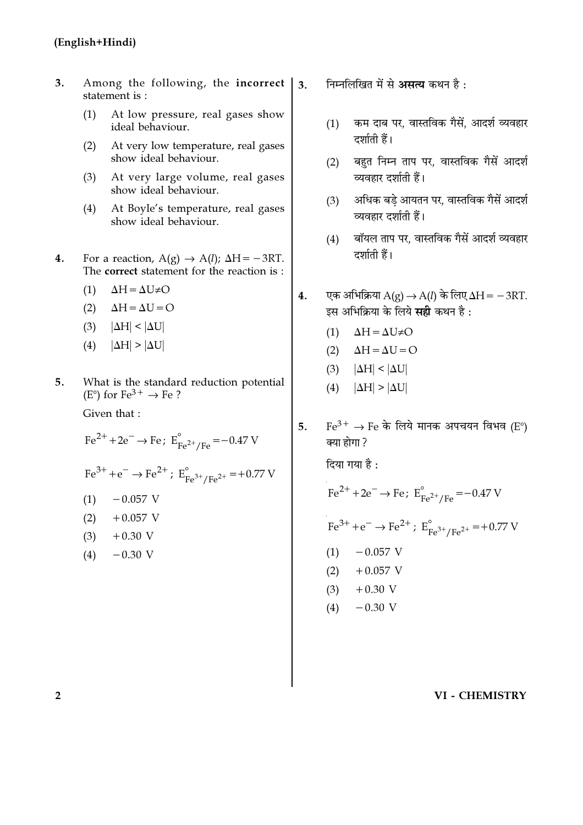- $3.$ Among the following, the incorrect statement is:
	- At low pressure, real gases show  $(1)$ ideal behaviour.
	- At very low temperature, real gases  $(2)$ show ideal behaviour.
	- At very large volume, real gases  $(3)$ show ideal behaviour.
	- At Boyle's temperature, real gases  $(4)$ show ideal behaviour.
- For a reaction,  $A(g) \rightarrow A(l)$ ;  $\Delta H = -3RT$ .  $4.$ The correct statement for the reaction is :
	- $(1)$  $\Delta H = \Delta U \neq O$
	- $(2)$  $\Delta H = \Delta U = O$
	- $(3)$  $|\Delta H| < |\Delta U|$
	- $(4)$  $|\Delta H| > |\Delta U|$
- What is the standard reduction potential 5.  $(E^{\circ})$  for  $Fe^{3+} \rightarrow Fe$ ?

Given that:

 $Fe^{2+} + 2e^- \rightarrow Fe$ ;  $E_{Fe^{2+}/Fe}^{\circ} = -0.47$  V

 $Fe^{3+} + e^{-} \rightarrow Fe^{2+}$ ;  $E_{Fe^{3+}/Fe^{2+}}^{o} = +0.77$  V

$$
(1) \qquad -0.057 \text{ V}
$$

- $(2)$  $+0.057$  V
- $(3)$  $+0.30$  V
- $-0.30$  V  $(4)$
- निम्नलिखित में से असत्य कथन है:  $\overline{3}$ .
	- कम दाब पर, वास्तविक गैसें, आदर्श व्यवहार  $(1)$ दर्शाती हैं।
	- बहुत निम्न ताप पर, वास्तविक गैसें आदर्श  $(2)$ व्यवहार दर्शाती हैं।
	- अधिक बडे आयतन पर, वास्तविक गैसें आदर्श  $(3)$ व्यवहार दर्शाती हैं।
	- बॉयल ताप पर. वास्तविक गैसें आदर्श व्यवहार  $(4)$ दर्शाती हैं।
- एक अभिक्रिया  $A(g) \rightarrow A(l)$  के लिए  $\Delta H = -3RT$ .  $4.$ इस अभिक्रिया के लिये सही कथन है:
	- $\Delta H = \Delta U \neq O$  $(1)$
	- (2)  $\Delta H = \Delta U = O$
	- (3)  $|\Delta H| < |\Delta U|$
	- (4)  $|\Delta H| > |\Delta U|$
- $Fe^{3+} \rightarrow Fe$  के लिये मानक अपचयन विभव (E°)  $5<sub>1</sub>$ क्या होगा ?

दिया गया है :

$$
Fe^{2+} + 2e^{-} \rightarrow Fe; E_{Fe^{2+}/Fe}^{\circ} = -0.47 \text{ V}
$$
  
\n
$$
Fe^{3+} + e^{-} \rightarrow Fe^{2+}; E_{Fe^{3+}/Fe^{2+}}^{\circ} = +0.77 \text{ V}
$$
  
\n(1) -0.057 \text{ V}  
\n(2) +0.057 \text{ V}  
\n(3) +0.30 \text{ V}  
\n(4) -0.30 \text{ V}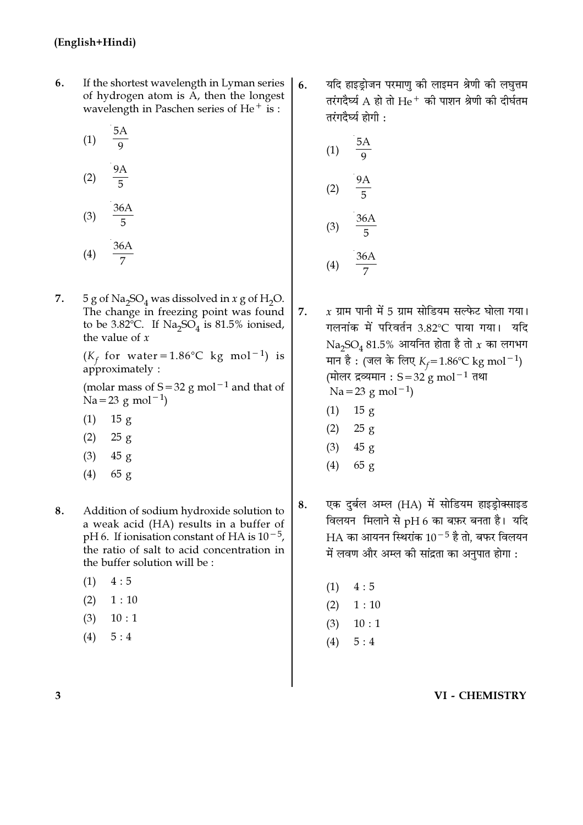- 6. If the shortest wavelength in Lyman series of hydrogen atom is A, then the longest wavelength in Paschen series of He $^+$  is :
	- $5A$  $(1)$  $\overline{Q}$

$$
(2) \quad \frac{9A}{5}
$$

 $(3)$ 

$$
(4) \quad \frac{36A}{7}
$$

7. 5 g of Na<sub>2</sub>SO<sub>4</sub> was dissolved in x g of H<sub>2</sub>O. The change in freezing point was found to be 3.82°C. If  $Na<sub>2</sub>SO<sub>4</sub>$  is 81.5% ionised, the value of  $x$ 

> $(K_f$  for water=1.86°C kg mol<sup>-1</sup>) is  $a$ pproximately:

> (molar mass of  $S = 32$  g mol<sup>-1</sup> and that of  $Na = 23$  g mol<sup>-1</sup>)

- $(1)$  $15 g$
- $(2)$  $25g$
- $(3)$  $45g$
- $65g$  $(4)$
- 8. Addition of sodium hydroxide solution to a weak acid (HA) results in a buffer of pH 6. If ionisation constant of HA is  $10^{-5}$ , the ratio of salt to acid concentration in the buffer solution will be :
	- $(1)$  $4:5$
	- $(2)$  $1:10$
	- $(3)$  $10:1$
	- $(4)$  $5:4$

यदि हाइड़ोजन परमाणु की लाइमन श्रेणी की लघुत्तम  $6.$ तरंगदैर्घ्य A हो तो  ${\rm He^+}$  की पाशन श्रेणी की दीर्घतम तरंगदैर्घ्य होगी :

(1) 
$$
\frac{5A}{9}
$$
  
\n(2)  $\frac{9A}{5}$   
\n(3)  $\frac{36A}{5}$   
\n(4)  $\frac{36A}{7}$ 

 $x$  ग्राम पानी में 5 ग्राम सोडियम सल्फेट घोला गया। 7. गलनांक में परिवर्तन 3.82℃ पाया गया। यदि  $Na<sub>3</sub>SO<sub>4</sub> 81.5%$  आयनित होता है तो  $x$  का लगभग मान है: (जल के लिए  $K_f = 1.86$ °C kg mol<sup>-1</sup>) (मोलर द्रव्यमान : S = 32 g mol<sup>-1</sup> तथा  $Na = 23$  g mol<sup>-1</sup>)

- $(1)$  $15 g$
- $(2)$  $25 g$
- $(3)$  $45 g$
- $(4)$  $65 g$
- एक दुर्बल अम्ल (HA) में सोडियम हाइड्रोक्साइड 8. विलयन मिलाने से pH 6 का बफ़र बनता है। यदि HA का आयनन स्थिरांक  $10^{-5}$  है तो, बफर विलयन में लवण और अम्ल की सांद्रता का अनुपात होगा :
	- $(1)$  $4:5$
	- $(2)$  $1:10$
	- $(3)$  $10:1$
	- $(4)$  $5:4$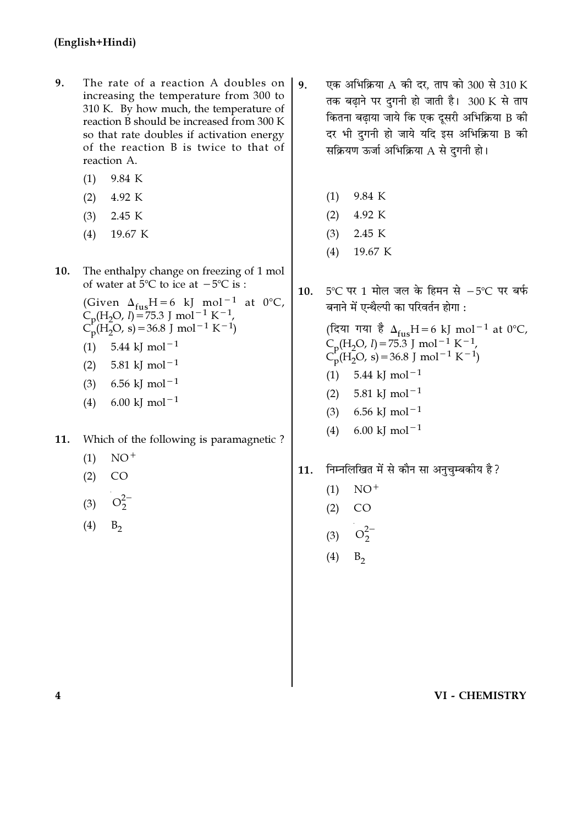- 9. The rate of a reaction A doubles on increasing the temperature from 300 to 310 K. By how much, the temperature of reaction B should be increased from 300 K so that rate doubles if activation energy of the reaction B is twice to that of reaction A.
	- 9.84 K  $(1)$
	- $(2)$ 4.92 K
	- $(3)$ 2.45 K
	- 19.67 K  $(4)$
- 10. The enthalpy change on freezing of 1 mol of water at  $5^{\circ}$ C to ice at  $-5^{\circ}$ C is :
	- (Given  $\Delta_{\text{fus}}H = 6$  kJ mol<sup>-1</sup> at 0°C,<br>C<sub>p</sub>(H<sub>2</sub>O, *I*)=75.3 J mol<sup>-1</sup> K<sup>-1</sup>,  $C_p^V(H_2O, s) = 36.8$  J mol<sup>-1</sup> K<sup>-1</sup>) (1)  $5.44 \text{ kJ} \text{ mol}^{-1}$ 5.81 kI mol<sup>-1</sup>  $(2)$
	- 6.56 kJ mol<sup>-1</sup>  $(3)$
	- 6.00 kJ mol<sup> $-1$ </sup>  $(4)$
- 11. Which of the following is paramagnetic?
	- $NO<sup>+</sup>$  $(1)$
	- $(2)$  $CO$
	- $O_2^{2}$  $(3)$
	- $(4)$  $B_{2}$
- एक अभिक्रिया A की दर. ताप को 300 से 310 K  $\mathbf{q}$ . तक बढाने पर दगनी हो जाती है। 300 K से ताप कितना बढाया जाये कि एक दूसरी अभिक्रिया B की दर भी दगनी हो जाये यदि इस अभिक्रिया B की सक्रियण ऊर्जा अभिक्रिया A से दुगनी हो।
	- $(1)$ 9.84 K
	- $(2)$ 4.92 K
	- $(3)$ 2.45 K
	- 19.67 K  $(4)$
- 5℃ पर 1 मोल जल के हिमन से -5℃ पर बर्फ  $10.$ बनाने में एन्थैल्पी का परिवर्तन होगा :

(दिया गया है  $\Delta_{fus}H = 6$  kJ mol<sup>-1</sup> at 0°C,<br>C<sub>p</sub>(H<sub>2</sub>O, *l*) = 75.3 J mol<sup>-1</sup> K<sup>-1</sup>,  $C_p^P(H_2O, s) = 36.8$  J mol<sup>-1</sup> K<sup>-1</sup>)  $(1)$ 5.44 kJ mol<sup> $-1$ </sup> 5.81 kJ mol<sup> $-1$ </sup>  $(2)$ 

- $(3)$ 6.56 kJ mol<sup> $-1$ </sup>
- 6.00 kJ mol<sup> $-1$ </sup>  $(4)$
- निम्नलिखित में से कौन सा अनुचुम्बकीय है? 11.
	- $NO^+$  $(1)$
	- $(2)$  $CO$
	- $O_2^{2-}$  $(3)$
	- $(4)$  $B_{2}$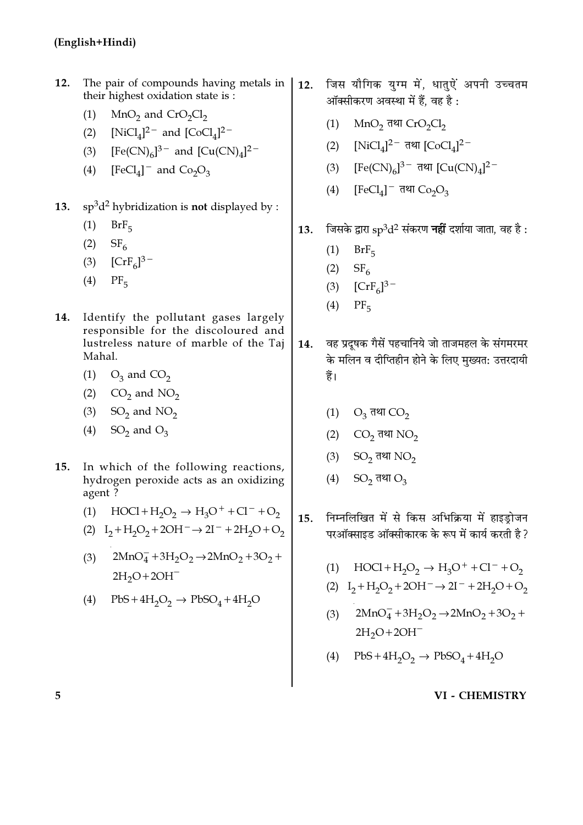- $12.$ The pair of compounds having metals in | their highest oxidation state is :
	- $(1)$  $MnO<sub>2</sub>$  and  $CrO<sub>2</sub>Cl<sub>2</sub>$
	- (2)  $[NiCl_4]^2$  and  $[CoCl_4]^2$
	- (3)  $[Fe(CN)_6]^{3-}$  and  $[Cu(CN)_4]^{2-}$
	- (4)  $[FeCl<sub>4</sub>]<sup>-</sup>$  and  $Co<sub>2</sub>O<sub>3</sub>$
- 13.  $sp^3d^2$  hybridization is not displayed by :
	- $(1)$  $BrF<sub>5</sub>$
	- $(2)$  SF<sub>6</sub>
	- (3)  $[CrF_6]^{3-}$
	- $(4)$  PF<sub>5</sub>
- 14. Identify the pollutant gases largely responsible for the discoloured and lustreless nature of marble of the Taj Mahal.
	- (1)  $O_3$  and  $CO_2$
	- (2)  $CO<sub>2</sub>$  and NO<sub>2</sub>
	- $(3)$  SO<sub>2</sub> and NO<sub>2</sub>
	- (4) SO<sub>2</sub> and O<sub>3</sub>
- In which of the following reactions,  $15.$ hydrogen peroxide acts as an oxidizing agent?
	- (1)  $\text{HOC1} + \text{H}_2\text{O}_2 \rightarrow \text{H}_3\text{O}^+ + \text{Cl}^- + \text{O}_2$
	- (2)  $I_2 + H_2O_2 + 2OH^- \rightarrow 2I^- + 2H_2O + O_2$
	- $2MnO<sub>4</sub> + 3H<sub>2</sub>O<sub>2</sub> \rightarrow 2MnO<sub>2</sub> + 3O<sub>2</sub> +$  $(3)$  $2H_2O+2OH^-$
	- (4)  $PbS+4H_2O_2 \rightarrow PbSO_4+4H_2O$
- जिस यौगिक युग्म में, धातुऐं अपनी उच्चतम  $12.$ ऑक्सीकरण अवस्था में हैं, वह है :
	- MnO<sub>2</sub> तथा CrO<sub>2</sub>Cl<sub>2</sub>  $(1)$
	- (2)  $[NiCl_4]^2$ <sup>-</sup> तथा  $[CoCl_4]^2$ <sup>-</sup>
	- [Fe(CN)<sub>6</sub>]<sup>3-</sup> तथा [Cu(CN)<sub>4</sub>]<sup>2-</sup>  $(3)$
	- (4)  $[FeCl<sub>4</sub>]<sup>-</sup>$   $\overline{q}$ था  $Co<sub>2</sub>O<sub>3</sub>$
- जिसके द्वारा  ${\rm sp}^3 {\rm d}^2$  संकरण **नहीं** दर्शाया जाता, वह है : 13.
	- $(1)$  $BrF<sub>5</sub>$
	- $(2)$  $SF<sub>6</sub>$
	- (3)  $[CrF_6]^{3-}$
	- $(4)$  $PF<sub>5</sub>$
- वह प्रदुषक गैसें पहचानिये जो ताजमहल के संगमरमर 14. के मलिन व दीप्तिहीन होने के लिए मुख्यत: उत्तरदायी हैं।
	- (1)  $O_3$  तथा  $CO_2$
	- (2)  $CO<sub>2</sub>$  तथा NO<sub>2</sub>
	- (3)  $SO<sub>2</sub>$  तथा  $NO<sub>2</sub>$
	- $(4)$  SO<sub>2</sub> तथा O<sub>3</sub>
- निम्नलिखित में से किस अभिक्रिया में हाइड़ोजन  $15.$ परऑक्साइड ऑक्सीकारक के रूप में कार्य करती है ?
	- $HOCl + H<sub>2</sub>O<sub>2</sub> \rightarrow H<sub>3</sub>O<sup>+</sup> + Cl<sup>-</sup> + O<sub>2</sub>$  $(1)$
	- (2)  $I_2 + H_2O_2 + 2OH^- \rightarrow 2I^- + 2H_2O + O_2$
	- $2MnO<sub>4</sub> + 3H<sub>2</sub>O<sub>2</sub> \rightarrow 2MnO<sub>2</sub> + 3O<sub>2</sub> +$  $(3)$  $2H_2O+2OH^-$
	- (4)  $PbS + 4H_2O_2 \rightarrow PbSO_4 + 4H_2O$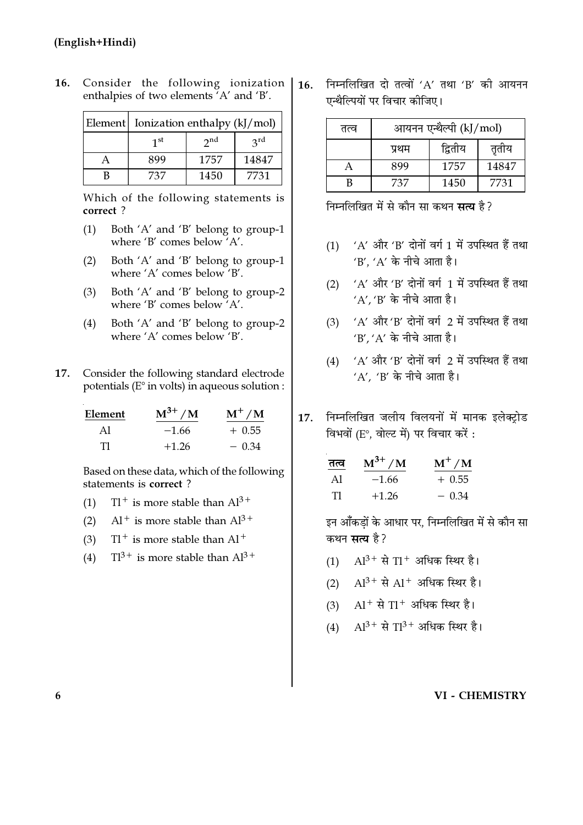| Element   Ionization enthalpy (kJ/mol) |          |                 |  |  |
|----------------------------------------|----------|-----------------|--|--|
| 1 <sup>st</sup>                        | $2^{nd}$ | $2^{\text{rd}}$ |  |  |
| 899                                    | 1757     | 14847           |  |  |
| 737                                    | 1450     | 7731            |  |  |

 $16.$ Consider the following ionization enthalpies of two elements A' and 'B'.

> Which of the following statements is correct?

- Both 'A' and 'B' belong to group-1  $(1)$ where 'B' comes below  $A'.$
- $(2)$ Both 'A' and 'B' belong to group-1 where 'A' comes below 'B'.
- Both 'A' and 'B' belong to group-2  $(3)$ where 'B' comes below 'A'.
- $(4)$ Both 'A' and 'B' belong to group-2 where 'A' comes below 'B'.
- Consider the following standard electrode 17. potentials (E° in volts) in aqueous solution :

| Element | $M^{3+}$ /M | $M^+/M$  |
|---------|-------------|----------|
| Al      | $-1.66$     | $+$ 0.55 |
| Тl      | $+1.26$     | $-0.34$  |

Based on these data, which of the following statements is correct?

- $T1^+$  is more stable than  $Al^{3+}$  $(1)$
- $Al^+$  is more stable than  $Al^{3+}$  $(2)$
- $T1^+$  is more stable than  $Al^+$  $(3)$
- $TI^{3+}$  is more stable than  $Al^{3+}$  $(4)$

 $16.$ निम्नलिखित दो तत्वों 'A' तथा 'B' की आयनन एन्थैल्पियों पर विचार कीजिए।

| तत्व | आयनन एन्थैल्पी (kJ/mol) |         |       |  |  |
|------|-------------------------|---------|-------|--|--|
|      | प्रथम                   | द्वितीय | तृतीय |  |  |
|      | 899                     | 1757    | 14847 |  |  |
| R    | 737                     | 1450    | 7731  |  |  |

निम्नलिखित में से कौन सा कथन **सत्य** है ?

- (1) 'A' और 'B' दोनों वर्ग 1 में उपस्थित हैं तथा  $'B'$ ,  $'A'$  के नीचे आता है।
- (2)  $'A'$  और 'B' दोनों वर्ग 1 में उपस्थित हैं तथा  $'A'$ . 'B' के नीचे आता है।
- (3) 'A' और 'B' दोनों वर्ग 2 में उपस्थित हैं तथा  $'B'$   $'A'$  के नीचे आता है।
- (4) 'A' और 'B' दोनों वर्ग 2 में उपस्थित हैं तथा  $'A'$ , 'B' के नीचे आता है।
- निम्नलिखित जलीय विलयनों में मानक इलेक्टोड 17. विभवों (E°, वोल्ट में) पर विचार करें :

| तत्व | $M^{3+} / M$ | $M^+/M$  |
|------|--------------|----------|
| Al   | $-1.66$      | $+$ 0.55 |
| T1   | $+1.26$      | $-0.34$  |

इन आँकडों के आधार पर, निम्नलिखित में से कौन सा कथन **सत्य** है?

- (1)  $Al^{3+}$  से  $T1^{+}$  अधिक स्थिर है।
- $Al^{3+}$  से  $Al^{+}$  अधिक स्थिर है।  $(2)$
- $Al^+$  से  $Tl^+$  अधिक स्थिर है।  $(3)$
- $Al^{3+}$  से  $Tl^{3+}$  अधिक स्थिर है।  $(4)$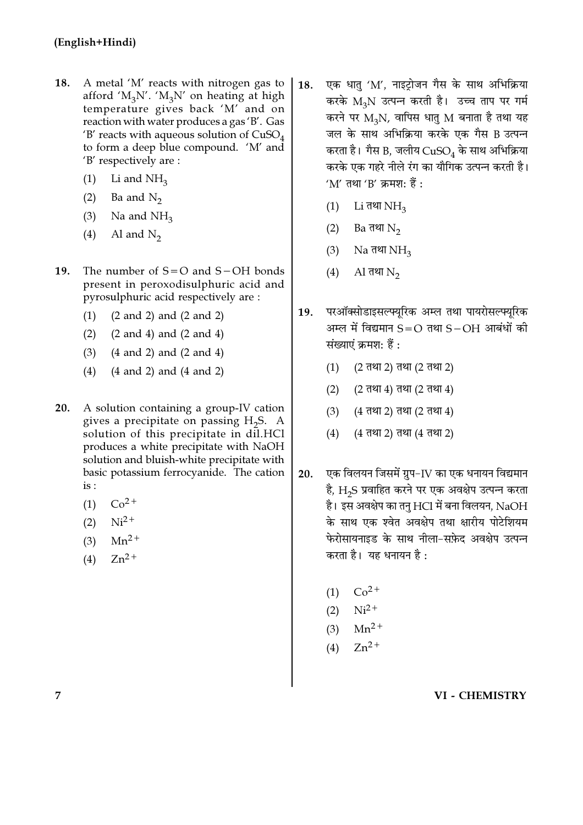- 18. A metal 'M' reacts with nitrogen gas to afford ' $M_3N'$ . ' $M_3N'$  on heating at high temperature gives back 'M' and on reaction with water produces a gas 'B'. Gas 'B' reacts with aqueous solution of  $CuSO<sub>4</sub>$ to form a deep blue compound. 'M' and 'B' respectively are :
	- Li and  $NH<sub>3</sub>$  $(1)$
	- Ba and  $N_2$  $(2)$
	- $(3)$ Na and  $NH<sub>3</sub>$
	- Al and  $N_2$  $(4)$
- 19. The number of  $S = O$  and  $S - OH$  bonds present in peroxodisulphuric acid and pyrosulphuric acid respectively are:
	- $(2 \text{ and } 2)$  and  $(2 \text{ and } 2)$  $(1)$
	- $(2)$  $(2 \text{ and } 4)$  and  $(2 \text{ and } 4)$
	- $(3)$  $(4 \text{ and } 2)$  and  $(2 \text{ and } 4)$
	- $(4)$  $(4 \text{ and } 2)$  and  $(4 \text{ and } 2)$
- $20.$ A solution containing a group-IV cation gives a precipitate on passing  $H_2S$ . A solution of this precipitate in dil.HCl produces a white precipitate with NaOH solution and bluish-white precipitate with basic potassium ferrocyanide. The cation  $is:$ 
	- $Co<sup>2+</sup>$  $(1)$
	- $Ni<sup>2+</sup>$  $(2)$
	- $(3)$  $Mn^2$ <sup>+</sup>
	- $Zn^{2+}$  $(4)$
- एक धातु 'M', नाइट्रोजन गैस के साथ अभिक्रिया  $18.$ करके M2N उत्पन्न करती है। उच्च ताप पर गर्म करने पर  $M_2N$ , वापिस धातु M बनाता है तथा यह जल के साथ अभिक्रिया करके एक गैस B उत्पन्न करता है। गैस B, जलीय  $CuSO<sub>4</sub>$  के साथ अभिक्रिया करके एक गहरे नीले रंग का यौगिक उत्पन्न करती है।  $'M'$  तथा 'B' क्रमश: हैं :
	- $Li$  तथा  $NH<sub>3</sub>$  $(1)$
	- Ва तथा  $N_2$  $(2)$
	- Na तथा  $NH<sub>3</sub>$  $(3)$
	- $(4)$  $\rm Al$  तथा  $\rm N_2$
- परऑक्सोडाइसल्फ्यूरिक अम्ल तथा पायरोसल्फ्यूरिक **19.** अम्ल में विद्यमान  $S=O$  तथा  $S-OH$  आबंधों की संख्याएं क्रमश: हैं :
	- $(1)$ (2 तथा 2) तथा (2 तथा 2)
	- $(2)$ (2 तथा 4) तथा (2 तथा 4)
	- $(3)$ (4 तथा 2) तथा (2 तथा 4)
	- $(4)$ (4 तथा 2) तथा (4 तथा 2)
- एक विलयन जिसमें ग्रुप-IV का एक धनायन विद्यमान 20. है, H2S प्रवाहित करने पर एक अवक्षेप उत्पन्न करता है। इस अवक्षेप का तनु HCl में बना विलयन, NaOH के साथ एक श्वेत अवक्षेप तथा क्षारीय पोटेशियम फेरोसायनाइड के साथ नीला-सफ़ेद अवक्षेप उत्पन्न करता है। यह धनायन है:
	- (1)  $Co^{2+}$
	- (2)  $Ni^{2+}$
	- (3)  $Mn^{2+}$
	- (4)  $Zn^{2+}$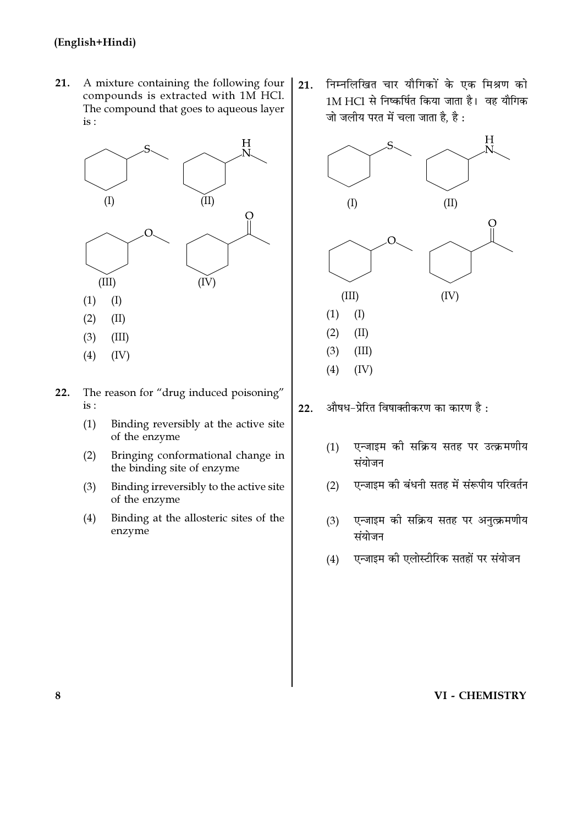$21.$ A mixture containing the following four compounds is extracted with 1M HCl. The compound that goes to aqueous layer is :



- $(3)$  $(III)$
- $(4)$  $(IV)$
- The reason for "drug induced poisoning"  $22.$  $is:$ 
	- Binding reversibly at the active site  $(1)$ of the enzyme
	- Bringing conformational change in  $(2)$ the binding site of enzyme
	- Binding irreversibly to the active site  $(3)$ of the enzyme
	- $(4)$ Binding at the allosteric sites of the enzyme

निम्नलिखित चार यौगिकों के एक मिश्रण को  $21.$ 1M HCl से निष्कर्षित किया जाता है। वह यौगिक जो जलीय परत में चला जाता है, है :



औषध-प्रेरित विषाक्तीकरण का कारण है :  $22.$ 

- एन्जाइम को सक्रिय सतह पर उत्क्रमणीय  $(1)$ संयोजन
- एन्जाइम की बंधनी सतह में संरूपीय परिवर्तन  $(2)$
- एन्जाइम की सक्रिय सतह पर अनुत्क्रमणीय  $(3)$ संयोजन
- एन्जाइम की एलोस्टीरिक सतहों पर संयोजन  $(4)$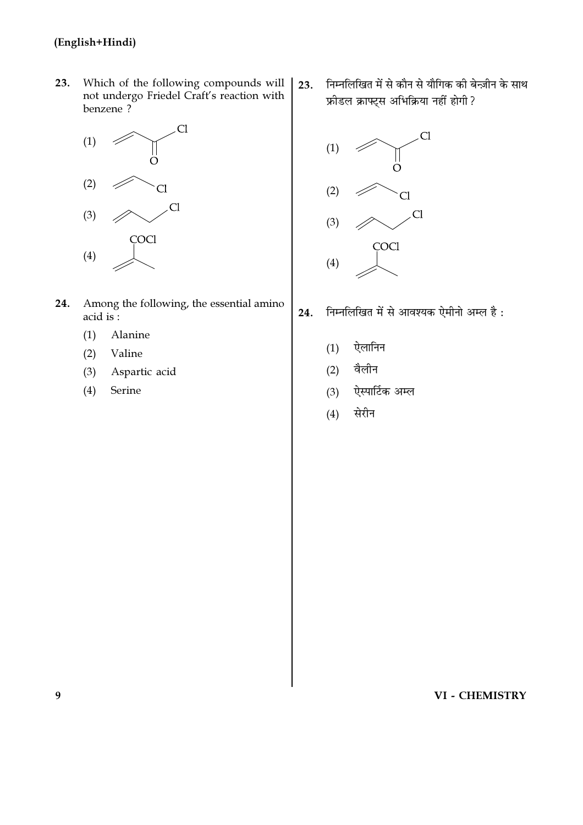23. Which of the following compounds will not undergo Friedel Craft's reaction with benzene?



- Among the following, the essential amino 24.  $acid$  is:
	- Alanine  $(1)$
	- $(2)$ Valine
	- $(3)$ Aspartic acid
	- $(4)$ Serine

निम्नलिखित में से कौन से यौगिक की बेन्ज़ीन के साथ  $23.$ फ्रीडल क्राफ्ट्स अभिक्रिया नहीं होगी ?



- निम्नलिखित में से आवश्यक ऐमीनो अम्ल है: 24.
	- ऐलानिन  $(1)$
	- वैलीन  $(2)$
	- ऐस्पार्टिक अम्ल  $(3)$
	- सेरीन  $(4)$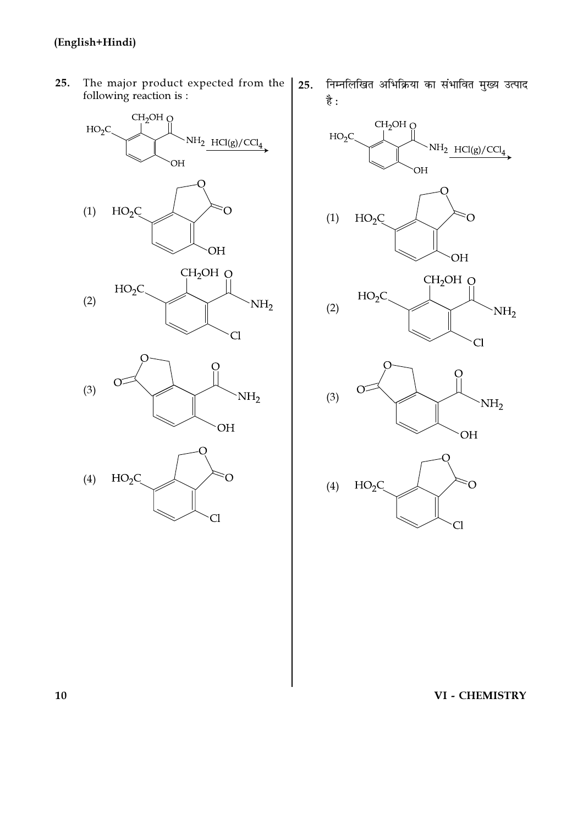$25.$ The major product expected from the following reaction is :



निम्नलिखित अभिक्रिया का संभावित मुख्य उत्पाद  $25.$ है:

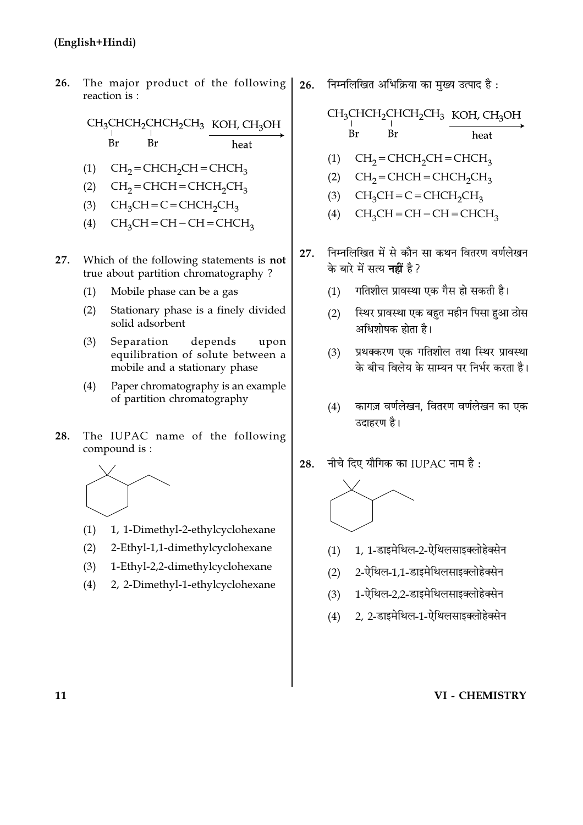26. The major product of the following reaction is:

> CH<sub>3</sub>CHCH<sub>2</sub>CHCH<sub>2</sub>CH<sub>3</sub> KOH, CH<sub>3</sub>OH **Br Br** heat

- $(1)$  CH<sub>2</sub> = CHCH<sub>2</sub>CH = CHCH<sub>3</sub>
- (2)  $CH_2=CHCH=CHCH_2CH_3$
- $CH_3CH = C = CHCH_2CH_3$  $(3)$
- $CH_3CH = CH CH = CHCH_3$  $(4)$
- Which of the following statements is not 27. true about partition chromatography?
	- Mobile phase can be a gas  $(1)$
	- Stationary phase is a finely divided  $(2)$ solid adsorbent
	- $(3)$ Separation depends upon equilibration of solute between a mobile and a stationary phase
	- $(4)$ Paper chromatography is an example of partition chromatography
- The IUPAC name of the following 28. compound is:



- $(1)$ 1, 1-Dimethyl-2-ethylcyclohexane
- 2-Ethyl-1,1-dimethylcyclohexane  $(2)$
- 1-Ethyl-2,2-dimethylcyclohexane  $(3)$
- $(4)$ 2, 2-Dimethyl-1-ethylcyclohexane

निम्नलिखित अभिक्रिया का मुख्य उत्पाद है: 26.

> CH<sub>3</sub>CHCH<sub>2</sub>CHCH<sub>2</sub>CH<sub>3</sub> KOH, CH<sub>3</sub>OH  $Br$ Br heat

- $CH<sub>2</sub> = CHCH<sub>2</sub>CH = CHCH<sub>3</sub>$  $(1)$
- $(2)$  $CH<sub>2</sub> = CHCH = CHCH<sub>2</sub>CH<sub>3</sub>$
- $CH<sub>3</sub>CH = C = CHCH<sub>2</sub>CH<sub>3</sub>$  $(3)$
- $CH<sub>3</sub>CH = CH CH = CHCH<sub>3</sub>$  $(4)$
- निम्नलिखित में से कौन सा कथन वितरण वर्णलेखन 27. के बारे में सत्य **नहीं** है?
	- गतिशील प्रावस्था एक गैस हो सकती है।  $(1)$
	- स्थिर प्रावस्था एक बहुत महीन पिसा हुआ ठोस  $(2)$ अधिशोषक होता है।
	- प्रथक्करण एक गतिशील तथा स्थिर प्रावस्था  $(3)$ के बीच विलेय के साम्यन पर निर्भर करता है।
	- कागज़ वर्णलेखन, वितरण वर्णलेखन का एक  $(4)$ उदाहरण है।
- नीचे दिए यौगिक का IUPAC नाम है: 28.



- 1, 1-डाइमेथिल-2-ऐथिलसाइक्लोहेक्सेन  $(1)$
- 2-ऐथिल-1.1-डाइमेथिलसाइक्लोहेक्सेन  $(2)$
- 1-ऐथिल-2.2-डाइमेथिलसाइक्लोहेक्सेन  $(3)$
- 2. 2-डाइमेथिल-1-ऐथिलसाइक्लोहेक्सेन  $(4)$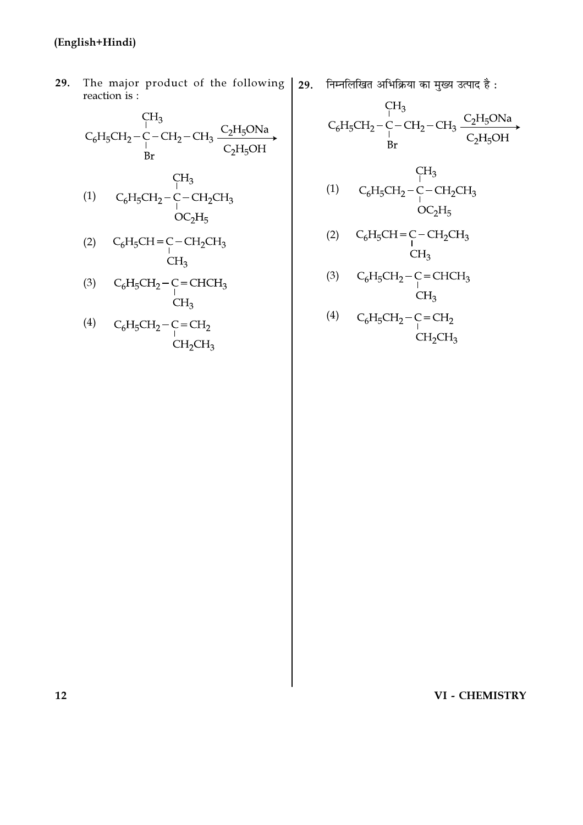The major product of the following | 29. निम्नलिखित अभिक्रिया का मुख्य उत्पाद है: 29. reaction is :

$$
\begin{matrix}\nCH_3 \\
C_6H_5CH_2-C-CH_2-CH_3 \xrightarrow[C_2H_5OH]{C_2H_5OH} \\
Br\n\end{matrix}
$$

$$
\begin{array}{cc}\n & \text{CH}_3 \\
\text{(1)} & \text{C}_6\text{H}_5\text{CH}_2-\text{C}-\text{CH}_2\text{CH}_3 \\
 & \text{OC}_2\text{H}_5\n\end{array}
$$

$$
\begin{array}{cc}\n\text{(2)} & \text{C}_6\text{H}_5\text{CH} = \text{C} - \text{CH}_2\text{CH}_3 \\
 & \text{CH}_3 \\
 & \text{CH}_3\n\end{array}
$$

- (3)  $C_6H_5CH_2-C=CHCH_3$ <br>CH<sub>3</sub>
- (4)  $C_6H_5CH_2-C=CH_2$ <br>CH<sub>2</sub>CH<sub>3</sub>

$$
\begin{matrix} & \begin{array}{c} C_{1} \\ \text{I} \end{array} \\ C_{6}H_{5}CH_{2} - C - CH_{2} - CH_{3} \xrightarrow{\begin{array}{c} C_{2}H_{5}ONa \\ C_{2}H_{5}OH \end{array}} \end{matrix}
$$

$$
(1) \tC_6H_5CH_2-C-CH_2CH_3\tOC_2H_5
$$

$$
\begin{array}{cc}\n\text{(2)} & C_6\text{H}_5\text{CH} = \text{C} - \text{CH}_2\text{CH}_3 \\
 & \text{CH}_3 \\
 & \text{CH}_3\n\end{array}
$$

- (3)  $C_6H_5CH_2-C=CHCH_3$ <br>CH<sub>3</sub><br>(4)  $C_6H_5CH_2-C=CH_2$ <br>CH<sub>2</sub>CH<sub>3</sub><br>CH<sub>2</sub>CH<sub>3</sub>
-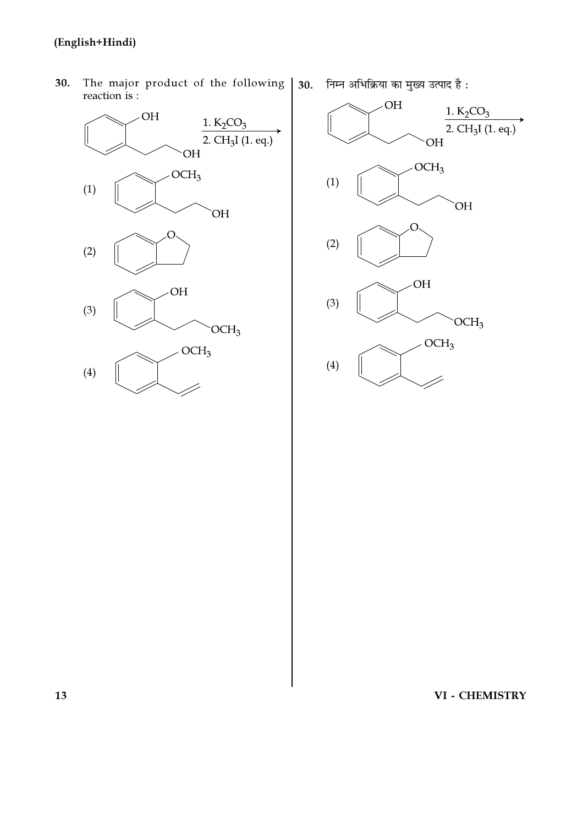The major product of the following 30. reaction is :



निम्न अभिक्रिया का मुख्य उत्पाद है:  $30.$